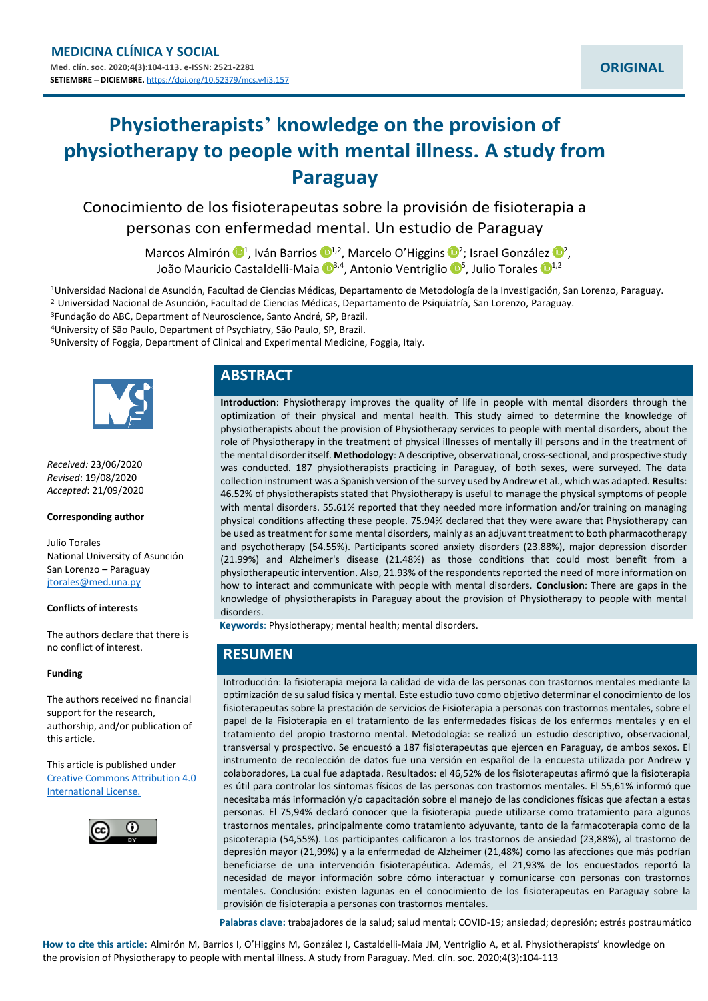# **Physiotherapists' knowledge on the provision of physiotherapy to people with mental illness. A study from Paraguay**

Conocimiento de los fisioterapeutas sobre la provisión de fisioterapia a personas con enfermedad mental. Un estudio de Paraguay

> Marcos Almirón <sup>1,</sup> Iván Barrios <sup>1,[2](https://orcid.org/0000-0001-7471-9075)</sup>, Marcelo O'Higgins <sup>1,2</sup>; Israel González <sup>1,2</sup>, João Mauricio Castaldelli-Maia <sup>[1](https://orcid.org/0000-0003-3277-7036)3,4</sup>, Antonio Ventriglio <sup>15</sup>, Julio Torales <sup>14,2</sup>

<sup>1</sup>Universidad Nacional de Asunción, Facultad de Ciencias Médicas, Departamento de Metodología de la Investigación, San Lorenzo, Paraguay. <sup>2</sup> Universidad Nacional de Asunción, Facultad de Ciencias Médicas, Departamento de Psiquiatría, San Lorenzo, Paraguay.

<sup>3</sup>Fundação do ABC, Department of Neuroscience, Santo André, SP, Brazil.

<sup>4</sup>University of São Paulo, Department of Psychiatry, São Paulo, SP, Brazil.

<sup>5</sup>University of Foggia, Department of Clinical and Experimental Medicine, Foggia, Italy.



*Received:* 23/06/2020 *Revised*: 19/08/2020 *Accepted*: 21/09/2020

#### **Corresponding author**

Julio Torales National University of Asunción San Lorenzo – Paraguay [jtorales@med.una.py](mailto:jtorales@med.una.py)

#### **Conflicts of interests**

The authors declare that there is no conflict of interest.

#### **Funding**

The authors received no financial support for the research, authorship, and/or publication of this article.

This article is published under [Creative Commons Attribution 4.0](http://creativecommons.org/licenses/by/4.0/)  [International License.](http://creativecommons.org/licenses/by/4.0/)



# **ABSTRACT**

**Introduction**: Physiotherapy improves the quality of life in people with mental disorders through the optimization of their physical and mental health. This study aimed to determine the knowledge of physiotherapists about the provision of Physiotherapy services to people with mental disorders, about the role of Physiotherapy in the treatment of physical illnesses of mentally ill persons and in the treatment of the mental disorder itself. **Methodology**: A descriptive, observational, cross-sectional, and prospective study was conducted. 187 physiotherapists practicing in Paraguay, of both sexes, were surveyed. The data collection instrument was a Spanish version of the survey used by Andrew et al., which was adapted. **Results**: 46.52% of physiotherapists stated that Physiotherapy is useful to manage the physical symptoms of people with mental disorders. 55.61% reported that they needed more information and/or training on managing physical conditions affecting these people. 75.94% declared that they were aware that Physiotherapy can be used as treatment for some mental disorders, mainly as an adjuvant treatment to both pharmacotherapy and psychotherapy (54.55%). Participants scored anxiety disorders (23.88%), major depression disorder (21.99%) and Alzheimer's disease (21.48%) as those conditions that could most benefit from a physiotherapeutic intervention. Also, 21.93% of the respondents reported the need of more information on how to interact and communicate with people with mental disorders. **Conclusion**: There are gaps in the knowledge of physiotherapists in Paraguay about the provision of Physiotherapy to people with mental disorders.

**Keywords**: Physiotherapy; mental health; mental disorders.

# **RESUMEN**

Introducción: la fisioterapia mejora la calidad de vida de las personas con trastornos mentales mediante la optimización de su salud física y mental. Este estudio tuvo como objetivo determinar el conocimiento de los fisioterapeutas sobre la prestación de servicios de Fisioterapia a personas con trastornos mentales, sobre el papel de la Fisioterapia en el tratamiento de las enfermedades físicas de los enfermos mentales y en el tratamiento del propio trastorno mental. Metodología: se realizó un estudio descriptivo, observacional, transversal y prospectivo. Se encuestó a 187 fisioterapeutas que ejercen en Paraguay, de ambos sexos. El instrumento de recolección de datos fue una versión en español de la encuesta utilizada por Andrew y colaboradores, La cual fue adaptada. Resultados: el 46,52% de los fisioterapeutas afirmó que la fisioterapia es útil para controlar los síntomas físicos de las personas con trastornos mentales. El 55,61% informó que necesitaba más información y/o capacitación sobre el manejo de las condiciones físicas que afectan a estas personas. El 75,94% declaró conocer que la fisioterapia puede utilizarse como tratamiento para algunos trastornos mentales, principalmente como tratamiento adyuvante, tanto de la farmacoterapia como de la psicoterapia (54,55%). Los participantes calificaron a los trastornos de ansiedad (23,88%), al trastorno de depresión mayor (21,99%) y a la enfermedad de Alzheimer (21,48%) como las afecciones que más podrían beneficiarse de una intervención fisioterapéutica. Además, el 21,93% de los encuestados reportó la necesidad de mayor información sobre cómo interactuar y comunicarse con personas con trastornos mentales. Conclusión: existen lagunas en el conocimiento de los fisioterapeutas en Paraguay sobre la provisión de fisioterapia a personas con trastornos mentales.

**Palabras clave:** trabajadores de la salud; salud mental; COVID-19; ansiedad; depresión; estrés postraumático

**How to cite this article:** Almirón M, Barrios I, O'Higgins M, González I, Castaldelli-Maia JM, Ventriglio A, et al. Physiotherapists' knowledge on the provision of Physiotherapy to people with mental illness. A study from Paraguay. Med. clín. soc. 2020;4(3):104-113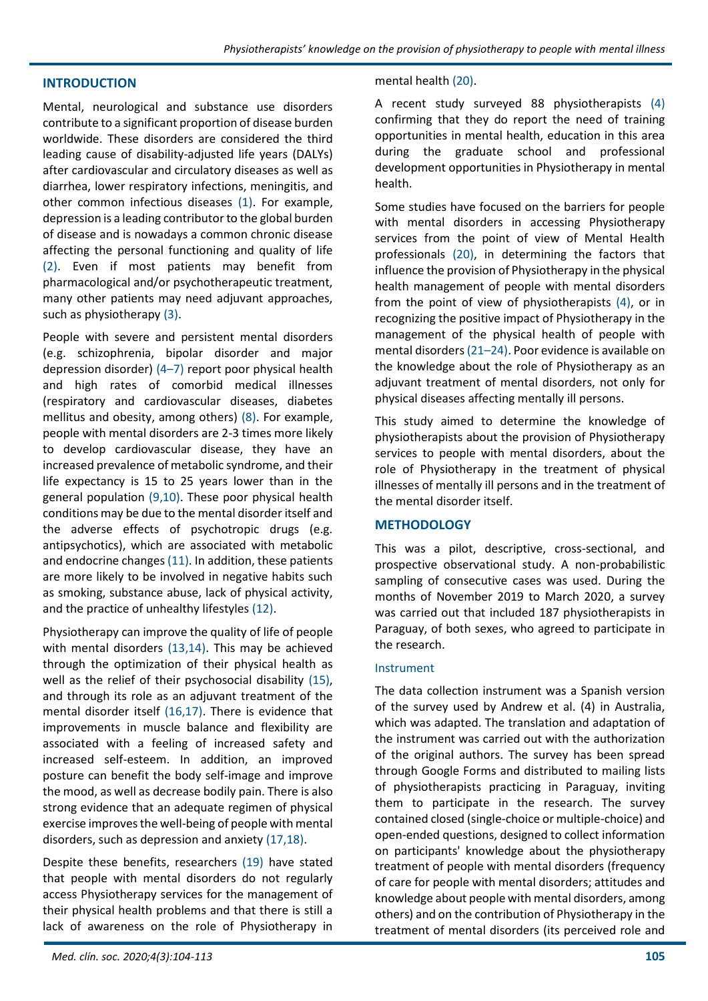## **INTRODUCTION**

Mental, neurological and substance use disorders contribute to a significant proportion of disease burden worldwide. These disorders are considered the third leading cause of disability-adjusted life years (DALYs) after cardiovascular and circulatory diseases as well as diarrhea, lower respiratory infections, meningitis, and other common infectious diseases (1). For example, depression is a leading contributor to the global burden of disease and is nowadays a common chronic disease affecting the personal functioning and quality of life (2). Even if most patients may benefit from pharmacological and/or psychotherapeutic treatment, many other patients may need adjuvant approaches, such as physiotherapy (3).

People with severe and persistent mental disorders (e.g. schizophrenia, bipolar disorder and major depression disorder) (4–7) report poor physical health and high rates of comorbid medical illnesses (respiratory and cardiovascular diseases, diabetes mellitus and obesity, among others) (8). For example, people with mental disorders are 2-3 times more likely to develop cardiovascular disease, they have an increased prevalence of metabolic syndrome, and their life expectancy is 15 to 25 years lower than in the general population (9,10). These poor physical health conditions may be due to the mental disorder itself and the adverse effects of psychotropic drugs (e.g. antipsychotics), which are associated with metabolic and endocrine changes (11). In addition, these patients are more likely to be involved in negative habits such as smoking, substance abuse, lack of physical activity, and the practice of unhealthy lifestyles (12).

Physiotherapy can improve the quality of life of people with mental disorders (13,14). This may be achieved through the optimization of their physical health as well as the relief of their psychosocial disability (15), and through its role as an adjuvant treatment of the mental disorder itself (16,17). There is evidence that improvements in muscle balance and flexibility are associated with a feeling of increased safety and increased self-esteem. In addition, an improved posture can benefit the body self-image and improve the mood, as well as decrease bodily pain. There is also strong evidence that an adequate regimen of physical exercise improves the well-being of people with mental disorders, such as depression and anxiety (17,18).

Despite these benefits, researchers (19) have stated that people with mental disorders do not regularly access Physiotherapy services for the management of their physical health problems and that there is still a lack of awareness on the role of Physiotherapy in

#### mental health (20).

A recent study surveyed 88 physiotherapists (4) confirming that they do report the need of training opportunities in mental health, education in this area during the graduate school and professional development opportunities in Physiotherapy in mental health.

Some studies have focused on the barriers for people with mental disorders in accessing Physiotherapy services from the point of view of Mental Health professionals (20), in determining the factors that influence the provision of Physiotherapy in the physical health management of people with mental disorders from the point of view of physiotherapists (4), or in recognizing the positive impact of Physiotherapy in the management of the physical health of people with mental disorders (21–24). Poor evidence is available on the knowledge about the role of Physiotherapy as an adjuvant treatment of mental disorders, not only for physical diseases affecting mentally ill persons.

This study aimed to determine the knowledge of physiotherapists about the provision of Physiotherapy services to people with mental disorders, about the role of Physiotherapy in the treatment of physical illnesses of mentally ill persons and in the treatment of the mental disorder itself.

## **METHODOLOGY**

This was a pilot, descriptive, cross-sectional, and prospective observational study. A non-probabilistic sampling of consecutive cases was used. During the months of November 2019 to March 2020, a survey was carried out that included 187 physiotherapists in Paraguay, of both sexes, who agreed to participate in the research.

## Instrument

The data collection instrument was a Spanish version of the survey used by Andrew et al. (4) in Australia, which was adapted. The translation and adaptation of the instrument was carried out with the authorization of the original authors. The survey has been spread through Google Forms and distributed to mailing lists of physiotherapists practicing in Paraguay, inviting them to participate in the research. The survey contained closed (single-choice or multiple-choice) and open-ended questions, designed to collect information on participants' knowledge about the physiotherapy treatment of people with mental disorders (frequency of care for people with mental disorders; attitudes and knowledge about people with mental disorders, among others) and on the contribution of Physiotherapy in the treatment of mental disorders (its perceived role and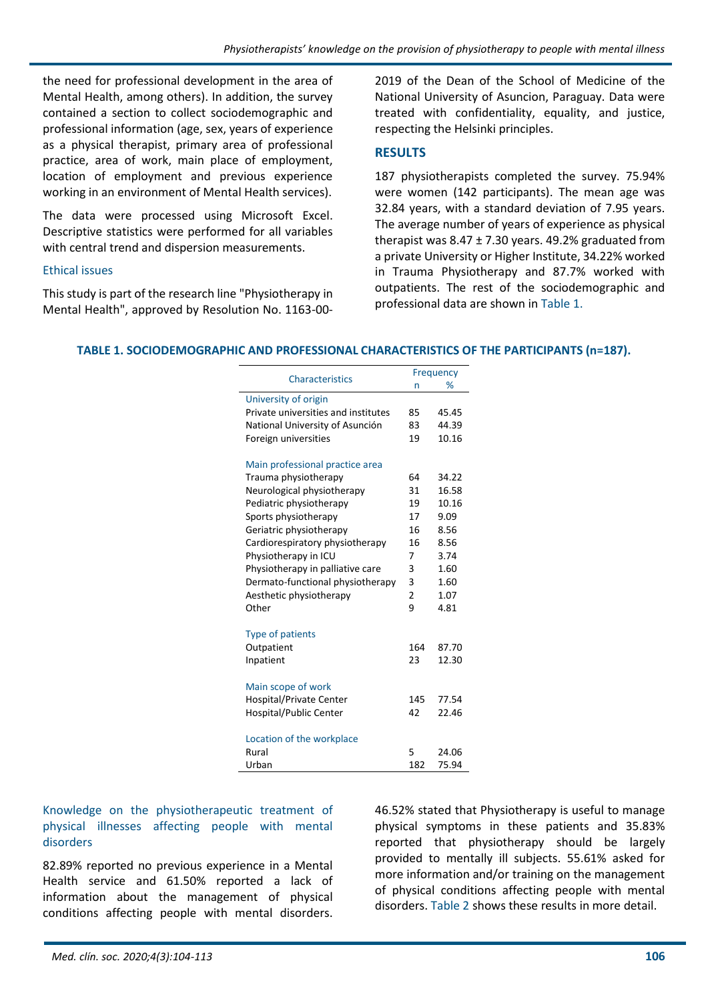the need for professional development in the area of Mental Health, among others). In addition, the survey contained a section to collect sociodemographic and professional information (age, sex, years of experience as a physical therapist, primary area of professional practice, area of work, main place of employment, location of employment and previous experience working in an environment of Mental Health services).

The data were processed using Microsoft Excel. Descriptive statistics were performed for all variables with central trend and dispersion measurements.

## Ethical issues

This study is part of the research line "Physiotherapy in Mental Health", approved by Resolution No. 1163-002019 of the Dean of the School of Medicine of the National University of Asuncion, Paraguay. Data were treated with confidentiality, equality, and justice, respecting the Helsinki principles.

# **RESULTS**

187 physiotherapists completed the survey. 75.94% were women (142 participants). The mean age was 32.84 years, with a standard deviation of 7.95 years. The average number of years of experience as physical therapist was  $8.47 \pm 7.30$  years. 49.2% graduated from a private University or Higher Institute, 34.22% worked in Trauma Physiotherapy and 87.7% worked with outpatients. The rest of the sociodemographic and professional data are shown in Table 1.

# **TABLE 1. SOCIODEMOGRAPHIC AND PROFESSIONAL CHARACTERISTICS OF THE PARTICIPANTS (n=187).**

|                                     | Frequency      |       |
|-------------------------------------|----------------|-------|
| <b>Characteristics</b>              | n              | %     |
| University of origin                |                |       |
| Private universities and institutes | 85             | 45.45 |
| National University of Asunción     | 83             | 44.39 |
| Foreign universities                | 19             | 10.16 |
| Main professional practice area     |                |       |
| Trauma physiotherapy                | 64             | 34.22 |
| Neurological physiotherapy          | 31             | 16.58 |
| Pediatric physiotherapy             | 19             | 10.16 |
| Sports physiotherapy                | 17             | 9.09  |
| Geriatric physiotherapy             | 16             | 8.56  |
| Cardiorespiratory physiotherapy     | 16             | 8.56  |
| Physiotherapy in ICU                | 7              | 3.74  |
| Physiotherapy in palliative care    | 3              | 1.60  |
| Dermato-functional physiotherapy    | 3              | 1.60  |
| Aesthetic physiotherapy             | $\overline{2}$ | 1.07  |
| Other                               | 9              | 4.81  |
| <b>Type of patients</b>             |                |       |
| Outpatient                          | 164            | 87.70 |
| Inpatient                           | 23             | 12.30 |
| Main scope of work                  |                |       |
| <b>Hospital/Private Center</b>      | 145            | 77.54 |
| Hospital/Public Center              | 42             | 22.46 |
| Location of the workplace           |                |       |
| Rural                               | 5              | 24.06 |
| Urban                               | 182            | 75.94 |

# Knowledge on the physiotherapeutic treatment of physical illnesses affecting people with mental disorders

82.89% reported no previous experience in a Mental Health service and 61.50% reported a lack of information about the management of physical conditions affecting people with mental disorders.

46.52% stated that Physiotherapy is useful to manage physical symptoms in these patients and 35.83% reported that physiotherapy should be largely provided to mentally ill subjects. 55.61% asked for more information and/or training on the management of physical conditions affecting people with mental disorders. Table 2 shows these results in more detail.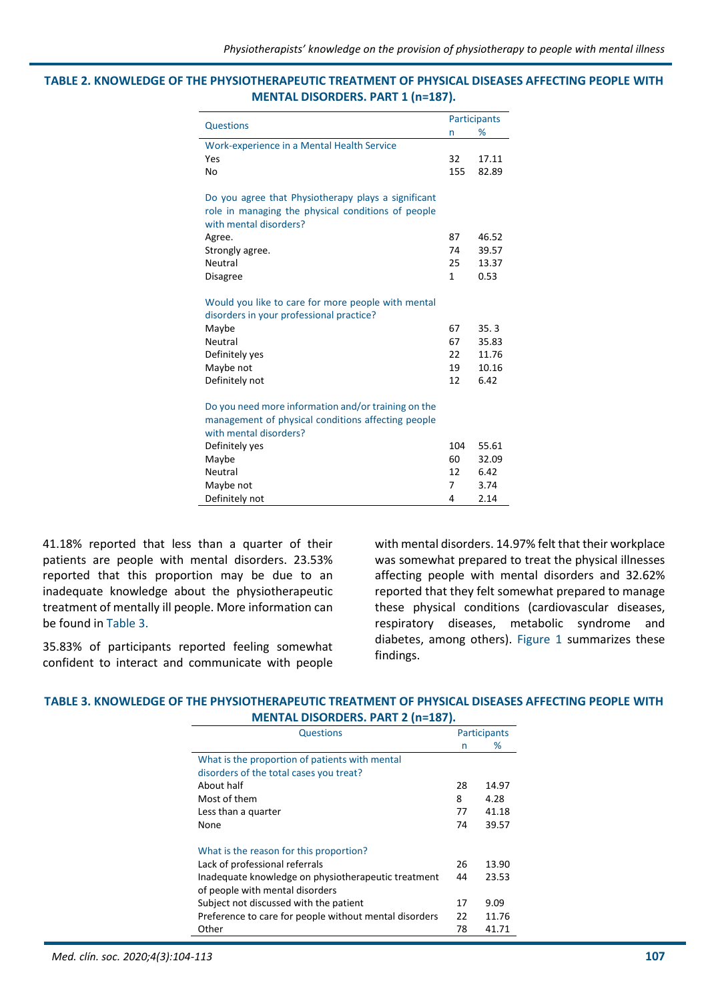#### **TABLE 2. KNOWLEDGE OF THE PHYSIOTHERAPEUTIC TREATMENT OF PHYSICAL DISEASES AFFECTING PEOPLE WITH MENTAL DISORDERS. PART 1 (n=187).**

|                                                                                                                                     |              | <b>Participants</b> |  |
|-------------------------------------------------------------------------------------------------------------------------------------|--------------|---------------------|--|
| Questions                                                                                                                           | n            | %                   |  |
| Work-experience in a Mental Health Service                                                                                          |              |                     |  |
| Yes                                                                                                                                 | 32           | 17.11               |  |
| No                                                                                                                                  | 155          | 82.89               |  |
| Do you agree that Physiotherapy plays a significant<br>role in managing the physical conditions of people<br>with mental disorders? |              |                     |  |
| Agree.                                                                                                                              | 87           | 46.52               |  |
| Strongly agree.                                                                                                                     | 74           | 39.57               |  |
| Neutral                                                                                                                             | 25           | 13.37               |  |
| <b>Disagree</b>                                                                                                                     | $\mathbf{1}$ | 0.53                |  |
| Would you like to care for more people with mental<br>disorders in your professional practice?                                      |              |                     |  |
| Maybe                                                                                                                               | 67           | 35.3                |  |
| Neutral                                                                                                                             | 67           | 35.83               |  |
| Definitely yes                                                                                                                      | 22           | 11.76               |  |
| Maybe not                                                                                                                           | 19           | 10.16               |  |
| Definitely not                                                                                                                      | 12           | 6.42                |  |
| Do you need more information and/or training on the<br>management of physical conditions affecting people<br>with mental disorders? |              |                     |  |
| Definitely yes                                                                                                                      | 104          | 55.61               |  |
| Maybe                                                                                                                               | 60           | 32.09               |  |
| Neutral                                                                                                                             | 12           | 6.42                |  |
| Maybe not                                                                                                                           | 7            | 3.74                |  |
| Definitely not                                                                                                                      | 4            | 2.14                |  |

41.18% reported that less than a quarter of their patients are people with mental disorders. 23.53% reported that this proportion may be due to an inadequate knowledge about the physiotherapeutic treatment of mentally ill people. More information can be found in Table 3.

35.83% of participants reported feeling somewhat confident to interact and communicate with people with mental disorders. 14.97% felt that their workplace was somewhat prepared to treat the physical illnesses affecting people with mental disorders and 32.62% reported that they felt somewhat prepared to manage these physical conditions (cardiovascular diseases, respiratory diseases, metabolic syndrome and diabetes, among others). Figure 1 summarizes these findings.

## **TABLE 3. KNOWLEDGE OF THE PHYSIOTHERAPEUTIC TREATMENT OF PHYSICAL DISEASES AFFECTING PEOPLE WITH MENTAL DISORDERS. PART 2 (n=187).**

| <b>Questions</b>                                       |    | Participants |
|--------------------------------------------------------|----|--------------|
|                                                        | n  | %            |
| What is the proportion of patients with mental         |    |              |
| disorders of the total cases you treat?                |    |              |
| About half                                             | 28 | 14.97        |
| Most of them                                           | 8  | 4.28         |
| Less than a quarter                                    | 77 | 41.18        |
| None                                                   | 74 | 39.57        |
| What is the reason for this proportion?                |    |              |
| Lack of professional referrals                         | 26 | 13.90        |
| Inadequate knowledge on physiotherapeutic treatment    | 44 | 23.53        |
| of people with mental disorders                        |    |              |
| Subject not discussed with the patient                 | 17 | 9.09         |
| Preference to care for people without mental disorders | 22 | 11.76        |
| Other                                                  | 78 | 41.71        |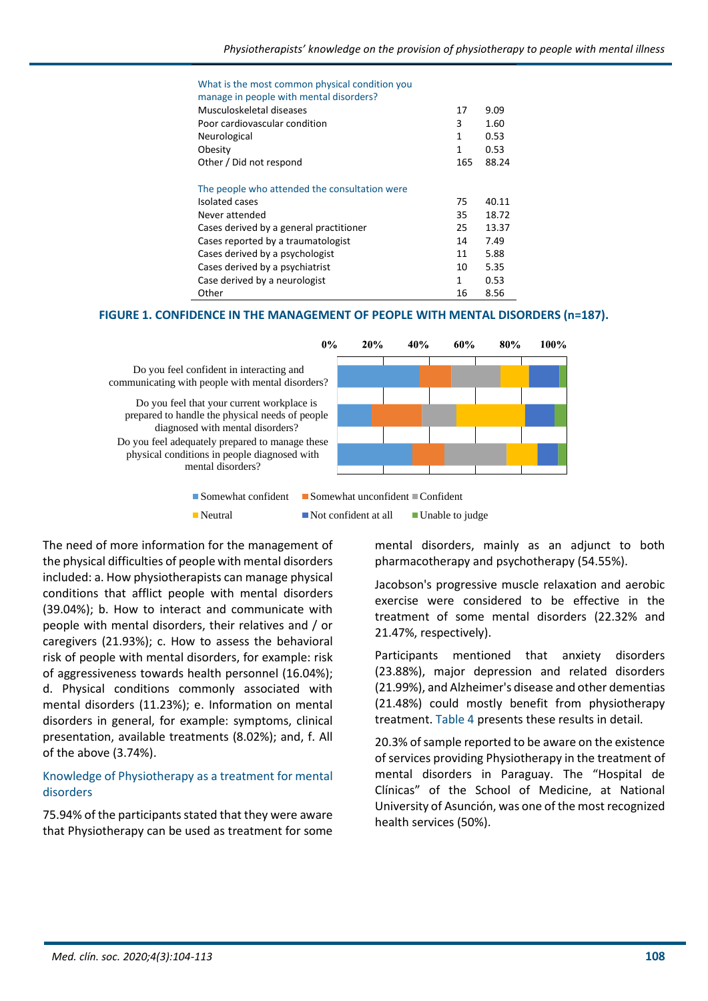# What is the most common physical condition you

| manage in people with mental disorders?       |     |       |
|-----------------------------------------------|-----|-------|
| Musculoskeletal diseases                      | 17  | 9.09  |
| Poor cardiovascular condition                 | 3   | 1.60  |
| Neurological                                  | 1   | 0.53  |
| Obesity                                       | 1   | 0.53  |
| Other / Did not respond                       | 165 | 88.24 |
| The people who attended the consultation were |     |       |
| Isolated cases                                | 75  | 40.11 |
| Never attended                                | 35  | 18.72 |
| Cases derived by a general practitioner       | 25  | 13.37 |
| Cases reported by a traumatologist            | 14  | 7.49  |
| Cases derived by a psychologist               | 11  | 5.88  |
| Cases derived by a psychiatrist               | 10  | 5.35  |
| Case derived by a neurologist                 | 1   | 0.53  |
| Other                                         | 16  | 8.56  |

## **FIGURE 1. CONFIDENCE IN THE MANAGEMENT OF PEOPLE WITH MENTAL DISORDERS (n=187).**



The need of more information for the management of the physical difficulties of people with mental disorders included: a. How physiotherapists can manage physical conditions that afflict people with mental disorders (39.04%); b. How to interact and communicate with people with mental disorders, their relatives and / or caregivers (21.93%); c. How to assess the behavioral risk of people with mental disorders, for example: risk of aggressiveness towards health personnel (16.04%); d. Physical conditions commonly associated with mental disorders (11.23%); e. Information on mental disorders in general, for example: symptoms, clinical presentation, available treatments (8.02%); and, f. All of the above (3.74%).

#### Knowledge of Physiotherapy as a treatment for mental disorders

75.94% of the participants stated that they were aware that Physiotherapy can be used as treatment for some mental disorders, mainly as an adjunct to both pharmacotherapy and psychotherapy (54.55%).

Jacobson's progressive muscle relaxation and aerobic exercise were considered to be effective in the treatment of some mental disorders (22.32% and 21.47%, respectively).

Participants mentioned that anxiety disorders (23.88%), major depression and related disorders (21.99%), and Alzheimer's disease and other dementias (21.48%) could mostly benefit from physiotherapy treatment. Table 4 presents these results in detail.

20.3% of sample reported to be aware on the existence of services providing Physiotherapy in the treatment of mental disorders in Paraguay. The "Hospital de Clínicas" of the School of Medicine, at National University of Asunción, was one of the most recognized health services (50%).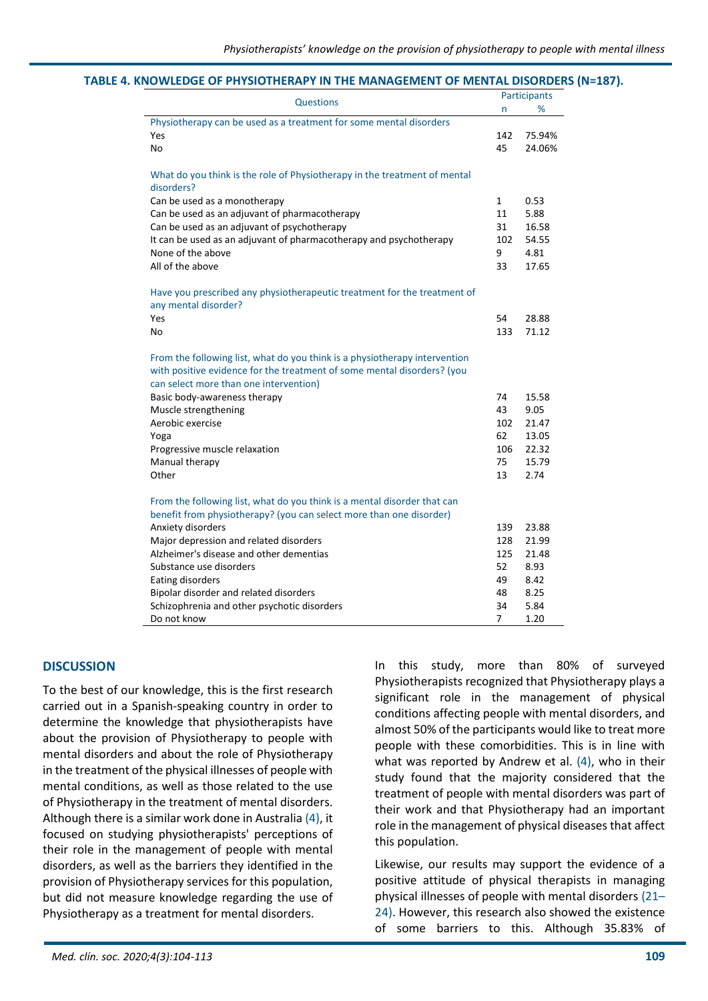#### **TABLE 4. KNOWLEDGE OF PHYSIOTHERAPY IN THE MANAGEMENT OF MENTAL DISORDERS (N=187).**

|                                                                                                                                                                                                 |     | Participants |
|-------------------------------------------------------------------------------------------------------------------------------------------------------------------------------------------------|-----|--------------|
| Questions                                                                                                                                                                                       | n   | %            |
| Physiotherapy can be used as a treatment for some mental disorders                                                                                                                              |     |              |
| Yes                                                                                                                                                                                             | 142 | 75.94%       |
| No                                                                                                                                                                                              | 45  | 24.06%       |
| What do you think is the role of Physiotherapy in the treatment of mental<br>disorders?                                                                                                         |     |              |
| Can be used as a monotherapy                                                                                                                                                                    | 1   | 0.53         |
| Can be used as an adjuvant of pharmacotherapy                                                                                                                                                   | 11  | 5.88         |
| Can be used as an adjuvant of psychotherapy                                                                                                                                                     | 31  | 16.58        |
| It can be used as an adjuvant of pharmacotherapy and psychotherapy                                                                                                                              | 102 | 54.55        |
| None of the above                                                                                                                                                                               | 9   | 4.81         |
| All of the above                                                                                                                                                                                | 33  | 17.65        |
| Have you prescribed any physiotherapeutic treatment for the treatment of<br>any mental disorder?                                                                                                |     |              |
| Yes                                                                                                                                                                                             | 54  | 28.88        |
| No                                                                                                                                                                                              | 133 | 71.12        |
| From the following list, what do you think is a physiotherapy intervention<br>with positive evidence for the treatment of some mental disorders? (you<br>can select more than one intervention) |     |              |
| Basic body-awareness therapy                                                                                                                                                                    | 74  | 15.58        |
| Muscle strengthening                                                                                                                                                                            | 43  | 9.05         |
| Aerobic exercise                                                                                                                                                                                | 102 | 21.47        |
| Yoga                                                                                                                                                                                            | 62  | 13.05        |
| Progressive muscle relaxation                                                                                                                                                                   | 106 | 22.32        |
| Manual therapy                                                                                                                                                                                  | 75  | 15.79        |
| Other                                                                                                                                                                                           | 13  | 2.74         |
| From the following list, what do you think is a mental disorder that can                                                                                                                        |     |              |
| benefit from physiotherapy? (you can select more than one disorder)                                                                                                                             |     |              |
| Anxiety disorders                                                                                                                                                                               | 139 | 23.88        |
| Major depression and related disorders                                                                                                                                                          | 128 | 21.99        |
| Alzheimer's disease and other dementias                                                                                                                                                         | 125 | 21.48        |
| Substance use disorders                                                                                                                                                                         | 52  | 8.93         |
| Eating disorders                                                                                                                                                                                | 49  | 8.42         |
| Bipolar disorder and related disorders                                                                                                                                                          | 48  | 8.25         |
| Schizophrenia and other psychotic disorders                                                                                                                                                     | 34  | 5.84         |
| Do not know                                                                                                                                                                                     | 7   | 1.20         |

#### **DISCUSSION**

To the best of our knowledge, this is the first research carried out in a Spanish-speaking country in order to determine the knowledge that physiotherapists have about the provision of Physiotherapy to people with mental disorders and about the role of Physiotherapy in the treatment of the physical illnesses of people with mental conditions, as well as those related to the use of Physiotherapy in the treatment of mental disorders. Although there is a similar work done in Australia (4), it focused on studying physiotherapists' perceptions of their role in the management of people with mental disorders, as well as the barriers they identified in the provision of Physiotherapy services for this population, but did not measure knowledge regarding the use of Physiotherapy as a treatment for mental disorders.

In this study, more than 80% of surveyed Physiotherapists recognized that Physiotherapy plays a significant role in the management of physical conditions affecting people with mental disorders, and almost 50% of the participants would like to treat more people with these comorbidities. This is in line with what was reported by Andrew et al.  $(4)$ , who in their study found that the majority considered that the treatment of people with mental disorders was part of their work and that Physiotherapy had an important role in the management of physical diseases that affect this population.

Likewise, our results may support the evidence of a positive attitude of physical therapists in managing physical illnesses of people with mental disorders (21– 24). However, this research also showed the existence of some barriers to this. Although 35.83% of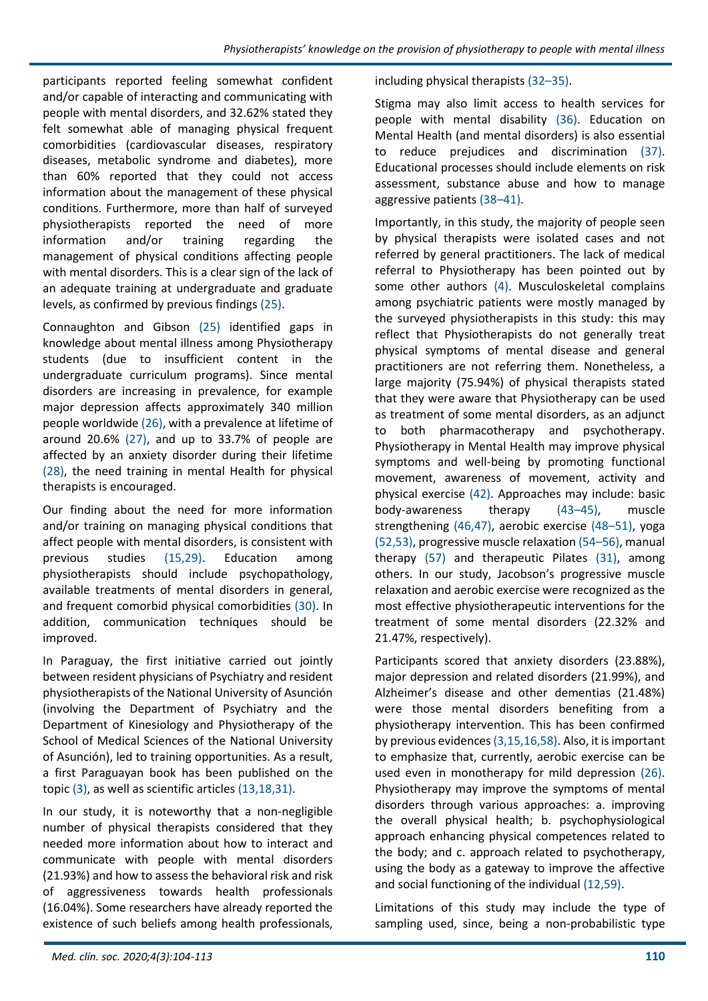participants reported feeling somewhat confident and/or capable of interacting and communicating with people with mental disorders, and 32.62% stated they felt somewhat able of managing physical frequent comorbidities (cardiovascular diseases, respiratory diseases, metabolic syndrome and diabetes), more than 60% reported that they could not access information about the management of these physical conditions. Furthermore, more than half of surveyed physiotherapists reported the need of more information and/or training regarding the management of physical conditions affecting people with mental disorders. This is a clear sign of the lack of an adequate training at undergraduate and graduate levels, as confirmed by previous findings (25).

Connaughton and Gibson (25) identified gaps in knowledge about mental illness among Physiotherapy students (due to insufficient content in the undergraduate curriculum programs). Since mental disorders are increasing in prevalence, for example major depression affects approximately 340 million people worldwide (26), with a prevalence at lifetime of around 20.6% (27), and up to 33.7% of people are affected by an anxiety disorder during their lifetime (28), the need training in mental Health for physical therapists is encouraged.

Our finding about the need for more information and/or training on managing physical conditions that affect people with mental disorders, is consistent with previous studies (15,29). Education among physiotherapists should include psychopathology, available treatments of mental disorders in general, and frequent comorbid physical comorbidities (30). In addition, communication techniques should be improved.

In Paraguay, the first initiative carried out jointly between resident physicians of Psychiatry and resident physiotherapists of the National University of Asunción (involving the Department of Psychiatry and the Department of Kinesiology and Physiotherapy of the School of Medical Sciences of the National University of Asunción), led to training opportunities. As a result, a first Paraguayan book has been published on the topic (3), as well as scientific articles (13,18,31).

In our study, it is noteworthy that a non-negligible number of physical therapists considered that they needed more information about how to interact and communicate with people with mental disorders (21.93%) and how to assess the behavioral risk and risk of aggressiveness towards health professionals (16.04%). Some researchers have already reported the existence of such beliefs among health professionals,

including physical therapists (32–35).

Stigma may also limit access to health services for people with mental disability (36). Education on Mental Health (and mental disorders) is also essential to reduce prejudices and discrimination (37). Educational processes should include elements on risk assessment, substance abuse and how to manage aggressive patients (38–41).

Importantly, in this study, the majority of people seen by physical therapists were isolated cases and not referred by general practitioners. The lack of medical referral to Physiotherapy has been pointed out by some other authors (4). Musculoskeletal complains among psychiatric patients were mostly managed by the surveyed physiotherapists in this study: this may reflect that Physiotherapists do not generally treat physical symptoms of mental disease and general practitioners are not referring them. Nonetheless, a large majority (75.94%) of physical therapists stated that they were aware that Physiotherapy can be used as treatment of some mental disorders, as an adjunct to both pharmacotherapy and psychotherapy. Physiotherapy in Mental Health may improve physical symptoms and well-being by promoting functional movement, awareness of movement, activity and physical exercise (42). Approaches may include: basic body-awareness therapy (43–45), muscle strengthening (46,47), aerobic exercise (48–51), yoga (52,53), progressive muscle relaxation (54–56), manual therapy (57) and therapeutic Pilates (31), among others. In our study, Jacobson's progressive muscle relaxation and aerobic exercise were recognized as the most effective physiotherapeutic interventions for the treatment of some mental disorders (22.32% and 21.47%, respectively).

Participants scored that anxiety disorders (23.88%), major depression and related disorders (21.99%), and Alzheimer's disease and other dementias (21.48%) were those mental disorders benefiting from a physiotherapy intervention. This has been confirmed by previous evidences (3,15,16,58). Also, it is important to emphasize that, currently, aerobic exercise can be used even in monotherapy for mild depression (26). Physiotherapy may improve the symptoms of mental disorders through various approaches: a. improving the overall physical health; b. psychophysiological approach enhancing physical competences related to the body; and c. approach related to psychotherapy, using the body as a gateway to improve the affective and social functioning of the individual (12,59).

Limitations of this study may include the type of sampling used, since, being a non-probabilistic type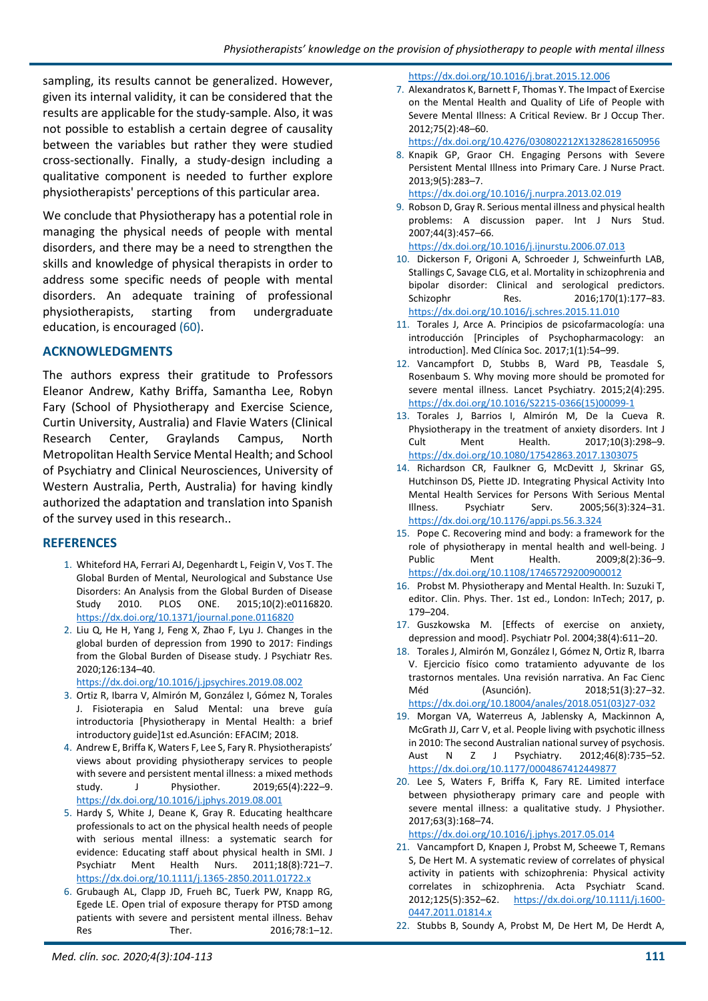sampling, its results cannot be generalized. However, given its internal validity, it can be considered that the results are applicable for the study-sample. Also, it was not possible to establish a certain degree of causality between the variables but rather they were studied cross-sectionally. Finally, a study-design including a qualitative component is needed to further explore physiotherapists' perceptions of this particular area.

We conclude that Physiotherapy has a potential role in managing the physical needs of people with mental disorders, and there may be a need to strengthen the skills and knowledge of physical therapists in order to address some specific needs of people with mental disorders. An adequate training of professional physiotherapists, starting from undergraduate education, is encouraged (60).

# **ACKNOWLEDGMENTS**

The authors express their gratitude to Professors Eleanor Andrew, Kathy Briffa, Samantha Lee, Robyn Fary (School of Physiotherapy and Exercise Science, Curtin University, Australia) and Flavie Waters (Clinical Research Center, Graylands Campus, North Metropolitan Health Service Mental Health; and School of Psychiatry and Clinical Neurosciences, University of Western Australia, Perth, Australia) for having kindly authorized the adaptation and translation into Spanish of the survey used in this research..

# **REFERENCES**

- 1. Whiteford HA, Ferrari AJ, Degenhardt L, Feigin V, Vos T. The Global Burden of Mental, Neurological and Substance Use Disorders: An Analysis from the Global Burden of Disease Study 2010. PLOS ONE. 2015;10(2):e0116820. <https://dx.doi.org/10.1371/journal.pone.0116820>
- 2. Liu Q, He H, Yang J, Feng X, Zhao F, Lyu J. Changes in the global burden of depression from 1990 to 2017: Findings from the Global Burden of Disease study. J Psychiatr Res. 2020;126:134–40.

<https://dx.doi.org/10.1016/j.jpsychires.2019.08.002>

- 3. Ortiz R, Ibarra V, Almirón M, González I, Gómez N, Torales J. Fisioterapia en Salud Mental: una breve guía introductoria [Physiotherapy in Mental Health: a brief introductory guide]1st ed.Asunción: EFACIM; 2018.
- 4. Andrew E, Briffa K, Waters F, Lee S, Fary R. Physiotherapists' views about providing physiotherapy services to people with severe and persistent mental illness: a mixed methods study. J Physiother. 2019;65(4):222–9. <https://dx.doi.org/10.1016/j.jphys.2019.08.001>
- 5. Hardy S, White J, Deane K, Gray R. Educating healthcare professionals to act on the physical health needs of people with serious mental illness: a systematic search for evidence: Educating staff about physical health in SMI. J Psychiatr Ment Health Nurs. 2011;18(8):721–7. <https://dx.doi.org/10.1111/j.1365-2850.2011.01722.x>
- 6. Grubaugh AL, Clapp JD, Frueh BC, Tuerk PW, Knapp RG, Egede LE. Open trial of exposure therapy for PTSD among patients with severe and persistent mental illness. Behav Res Ther. 2016:78:1-12.

#### <https://dx.doi.org/10.1016/j.brat.2015.12.006>

7. Alexandratos K, Barnett F, Thomas Y. The Impact of Exercise on the Mental Health and Quality of Life of People with Severe Mental Illness: A Critical Review. Br J Occup Ther. 2012;75(2):48–60.

<https://dx.doi.org/10.4276/030802212X13286281650956>

8. Knapik GP, Graor CH. Engaging Persons with Severe Persistent Mental Illness into Primary Care. J Nurse Pract. 2013;9(5):283–7.

<https://dx.doi.org/10.1016/j.nurpra.2013.02.019>

- 9. Robson D, Gray R. Serious mental illness and physical health problems: A discussion paper. Int J Nurs Stud. 2007;44(3):457–66.
- <https://dx.doi.org/10.1016/j.ijnurstu.2006.07.013>
- 10. Dickerson F, Origoni A, Schroeder J, Schweinfurth LAB, Stallings C, Savage CLG, et al. Mortality in schizophrenia and bipolar disorder: Clinical and serological predictors. Schizophr Res. 2016;170(1):177–83. <https://dx.doi.org/10.1016/j.schres.2015.11.010>
- 11. Torales J, Arce A. Principios de psicofarmacología: una introducción [Principles of Psychopharmacology: an introduction]. Med Clínica Soc. 2017;1(1):54–99.
- 12. Vancampfort D, Stubbs B, Ward PB, Teasdale S, Rosenbaum S. Why moving more should be promoted for severe mental illness. Lancet Psychiatry. 2015;2(4):295. [https://dx.doi.org/10.1016/S2215-0366\(15\)00099-1](https://dx.doi.org/10.1016/S2215-0366(15)00099-1)
- 13. Torales J, Barrios I, Almirón M, De la Cueva R. Physiotherapy in the treatment of anxiety disorders. Int J Cult Ment Health. 2017;10(3):298–9. <https://dx.doi.org/10.1080/17542863.2017.1303075>
- 14. Richardson CR, Faulkner G, McDevitt J, Skrinar GS, Hutchinson DS, Piette JD. Integrating Physical Activity Into Mental Health Services for Persons With Serious Mental Illness. Psychiatr Serv. 2005;56(3):324–31. <https://dx.doi.org/10.1176/appi.ps.56.3.324>
- 15. Pope C. Recovering mind and body: a framework for the role of physiotherapy in mental health and well‐being. J Public Ment Health. 2009;8(2):36–9. <https://dx.doi.org/10.1108/17465729200900012>
- 16. Probst M. Physiotherapy and Mental Health. In: Suzuki T, editor. Clin. Phys. Ther. 1st ed., London: InTech; 2017, p. 179–204.
- 17. Guszkowska M. [Effects of exercise on anxiety, depression and mood]. Psychiatr Pol. 2004;38(4):611–20.
- 18. Torales J, Almirón M, González I, Gómez N, Ortiz R, Ibarra V. Ejercicio físico como tratamiento adyuvante de los trastornos mentales. Una revisión narrativa. An Fac Cienc Méd (Asunción). 2018;51(3):27–32. [https://dx.doi.org/10.18004/anales/2018.051\(03\)27-032](https://dx.doi.org/10.18004/anales/2018.051(03)27-032)
- 19. Morgan VA, Waterreus A, Jablensky A, Mackinnon A, McGrath JJ, Carr V, et al. People living with psychotic illness in 2010: The second Australian national survey of psychosis. Aust N Z J Psychiatry. 2012;46(8):735–52. <https://dx.doi.org/10.1177/0004867412449877>
- 20. Lee S, Waters F, Briffa K, Fary RE. Limited interface between physiotherapy primary care and people with severe mental illness: a qualitative study. J Physiother. 2017;63(3):168–74.

<https://dx.doi.org/10.1016/j.jphys.2017.05.014>

- 21. Vancampfort D, Knapen J, Probst M, Scheewe T, Remans S, De Hert M. A systematic review of correlates of physical activity in patients with schizophrenia: Physical activity correlates in schizophrenia. Acta Psychiatr Scand. 2012;125(5):352–62. [https://dx.doi.org/10.1111/j.1600-](https://dx.doi.org/10.1111/j.1600-0447.2011.01814.x) [0447.2011.01814.x](https://dx.doi.org/10.1111/j.1600-0447.2011.01814.x)
- 22. Stubbs B, Soundy A, Probst M, De Hert M, De Herdt A,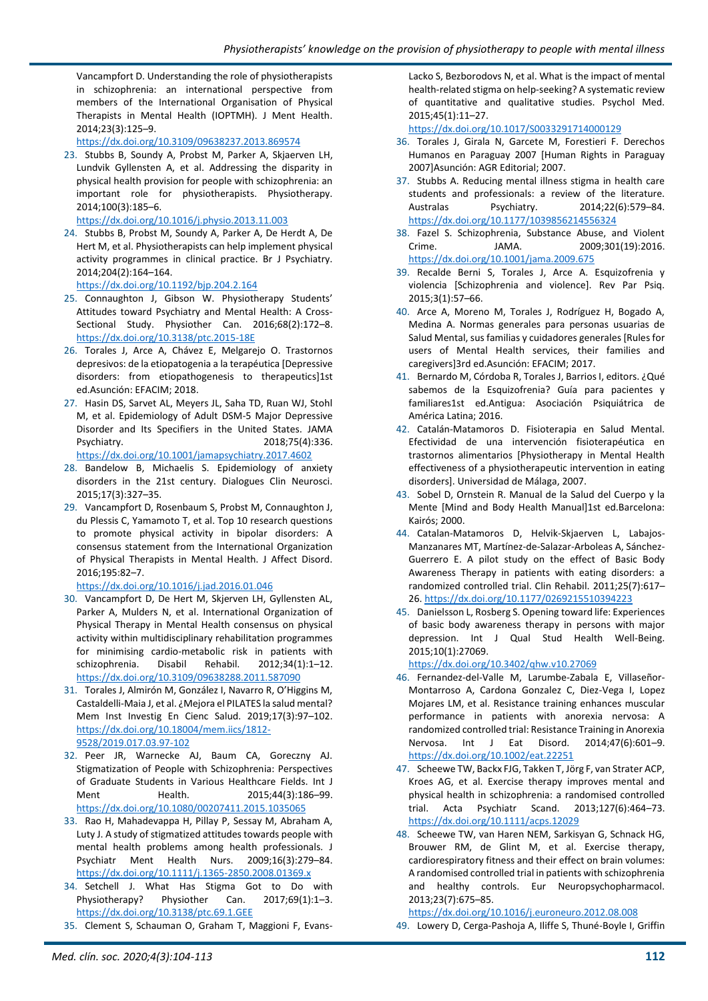Vancampfort D. Understanding the role of physiotherapists in schizophrenia: an international perspective from members of the International Organisation of Physical Therapists in Mental Health (IOPTMH). J Ment Health. 2014;23(3):125–9.

<https://dx.doi.org/10.3109/09638237.2013.869574>

23. Stubbs B, Soundy A, Probst M, Parker A, Skjaerven LH, Lundvik Gyllensten A, et al. Addressing the disparity in physical health provision for people with schizophrenia: an important role for physiotherapists. Physiotherapy. 2014;100(3):185–6.

<https://dx.doi.org/10.1016/j.physio.2013.11.003>

24. Stubbs B, Probst M, Soundy A, Parker A, De Herdt A, De Hert M, et al. Physiotherapists can help implement physical activity programmes in clinical practice. Br J Psychiatry. 2014;204(2):164–164.

<https://dx.doi.org/10.1192/bjp.204.2.164>

- 25. Connaughton J, Gibson W. Physiotherapy Students' Attitudes toward Psychiatry and Mental Health: A Cross-Sectional Study. Physiother Can. 2016;68(2):172–8. <https://dx.doi.org/10.3138/ptc.2015-18E>
- 26. Torales J, Arce A, Chávez E, Melgarejo O. Trastornos depresivos: de la etiopatogenia a la terapéutica [Depressive disorders: from etiopathogenesis to therapeutics]1st ed.Asunción: EFACIM; 2018.
- 27. Hasin DS, Sarvet AL, Meyers JL, Saha TD, Ruan WJ, Stohl M, et al. Epidemiology of Adult DSM-5 Major Depressive Disorder and Its Specifiers in the United States. JAMA Psychiatry. 2018;75(4):336.

<https://dx.doi.org/10.1001/jamapsychiatry.2017.4602>

- 28. Bandelow B, Michaelis S. Epidemiology of anxiety disorders in the 21st century. Dialogues Clin Neurosci. 2015;17(3):327–35.
- 29. Vancampfort D, Rosenbaum S, Probst M, Connaughton J, du Plessis C, Yamamoto T, et al. Top 10 research questions to promote physical activity in bipolar disorders: A consensus statement from the International Organization of Physical Therapists in Mental Health. J Affect Disord. 2016;195:82–7.

<https://dx.doi.org/10.1016/j.jad.2016.01.046>

- 30. Vancampfort D, De Hert M, Skjerven LH, Gyllensten AL, Parker A, Mulders N, et al. International Organization of Physical Therapy in Mental Health consensus on physical activity within multidisciplinary rehabilitation programmes for minimising cardio-metabolic risk in patients with schizophrenia. Disabil Rehabil. 2012;34(1):1–12. <https://dx.doi.org/10.3109/09638288.2011.587090>
- 31. Torales J, Almirón M, González I, Navarro R, O'Higgins M, Castaldelli-Maia J, et al. ¿Mejora el PILATES la salud mental? Mem Inst Investig En Cienc Salud. 2019;17(3):97–102. [https://dx.doi.org/10.18004/mem.iics/1812-](https://dx.doi.org/10.18004/mem.iics/1812-9528/2019.017.03.97-102) [9528/2019.017.03.97-102](https://dx.doi.org/10.18004/mem.iics/1812-9528/2019.017.03.97-102)
- 32. Peer JR, Warnecke AJ, Baum CA, Goreczny AJ. Stigmatization of People with Schizophrenia: Perspectives of Graduate Students in Various Healthcare Fields. Int J Ment Health. 2015;44(3):186-99. <https://dx.doi.org/10.1080/00207411.2015.1035065>
- 33. Rao H, Mahadevappa H, Pillay P, Sessay M, Abraham A, Luty J. A study of stigmatized attitudes towards people with mental health problems among health professionals. J Psychiatr Ment Health Nurs. 2009;16(3):279–84. <https://dx.doi.org/10.1111/j.1365-2850.2008.01369.x>
- 34. Setchell J. What Has Stigma Got to Do with Physiotherapy? Physiother Can. 2017;69(1):1-3. <https://dx.doi.org/10.3138/ptc.69.1.GEE>
- 35. Clement S, Schauman O, Graham T, Maggioni F, Evans-

Lacko S, Bezborodovs N, et al. What is the impact of mental health-related stigma on help-seeking? A systematic review of quantitative and qualitative studies. Psychol Med. 2015;45(1):11–27.

<https://dx.doi.org/10.1017/S0033291714000129>

- 36. Torales J, Girala N, Garcete M, Forestieri F. Derechos Humanos en Paraguay 2007 [Human Rights in Paraguay 2007]Asunción: AGR Editorial; 2007.
- 37. Stubbs A. Reducing mental illness stigma in health care students and professionals: a review of the literature. Australas Psychiatry. 2014;22(6):579–84. <https://dx.doi.org/10.1177/1039856214556324>
- 38. Fazel S. Schizophrenia, Substance Abuse, and Violent Crime. JAMA. 2009;301(19):2016. <https://dx.doi.org/10.1001/jama.2009.675>
- 39. Recalde Berni S, Torales J, Arce A. Esquizofrenia y violencia [Schizophrenia and violence]. Rev Par Psiq. 2015;3(1):57–66.
- 40. Arce A, Moreno M, Torales J, Rodríguez H, Bogado A, Medina A. Normas generales para personas usuarias de Salud Mental, sus familias y cuidadores generales [Rules for users of Mental Health services, their families and caregivers]3rd ed.Asunción: EFACIM; 2017.
- 41. Bernardo M, Córdoba R, Torales J, Barrios I, editors. ¿Qué sabemos de la Esquizofrenia? Guía para pacientes y familiares1st ed.Antigua: Asociación Psiquiátrica de América Latina; 2016.
- 42. Catalán-Matamoros D. Fisioterapia en Salud Mental. Efectividad de una intervención fisioterapéutica en trastornos alimentarios [Physiotherapy in Mental Health effectiveness of a physiotherapeutic intervention in eating disorders]. Universidad de Málaga, 2007.
- 43. Sobel D, Ornstein R. Manual de la Salud del Cuerpo y la Mente [Mind and Body Health Manual]1st ed.Barcelona: Kairós; 2000.
- 44. Catalan-Matamoros D, Helvik-Skjaerven L, Labajos-Manzanares MT, Martínez-de-Salazar-Arboleas A, Sánchez-Guerrero E. A pilot study on the effect of Basic Body Awareness Therapy in patients with eating disorders: a randomized controlled trial. Clin Rehabil. 2011;25(7):617– 26[. https://dx.doi.org/10.1177/0269215510394223](https://dx.doi.org/10.1177/0269215510394223)
- 45. Danielsson L, Rosberg S. Opening toward life: Experiences of basic body awareness therapy in persons with major depression. Int J Qual Stud Health Well-Being. 2015;10(1):27069.

<https://dx.doi.org/10.3402/qhw.v10.27069>

- 46. Fernandez-del-Valle M, Larumbe-Zabala E, Villaseñor-Montarroso A, Cardona Gonzalez C, Diez-Vega I, Lopez Mojares LM, et al. Resistance training enhances muscular performance in patients with anorexia nervosa: A randomized controlled trial: Resistance Training in Anorexia Nervosa. Int J Eat Disord. 2014;47(6):601–9. <https://dx.doi.org/10.1002/eat.22251>
- 47. Scheewe TW, Backx FJG, Takken T, Jörg F, van Strater ACP, Kroes AG, et al. Exercise therapy improves mental and physical health in schizophrenia: a randomised controlled trial. Acta Psychiatr Scand. 2013;127(6):464–73. <https://dx.doi.org/10.1111/acps.12029>
- 48. Scheewe TW, van Haren NEM, Sarkisyan G, Schnack HG, Brouwer RM, de Glint M, et al. Exercise therapy, cardiorespiratory fitness and their effect on brain volumes: A randomised controlled trial in patients with schizophrenia and healthy controls. Eur Neuropsychopharmacol. 2013;23(7):675–85.

<https://dx.doi.org/10.1016/j.euroneuro.2012.08.008>

49. Lowery D, Cerga-Pashoja A, Iliffe S, Thuné-Boyle I, Griffin